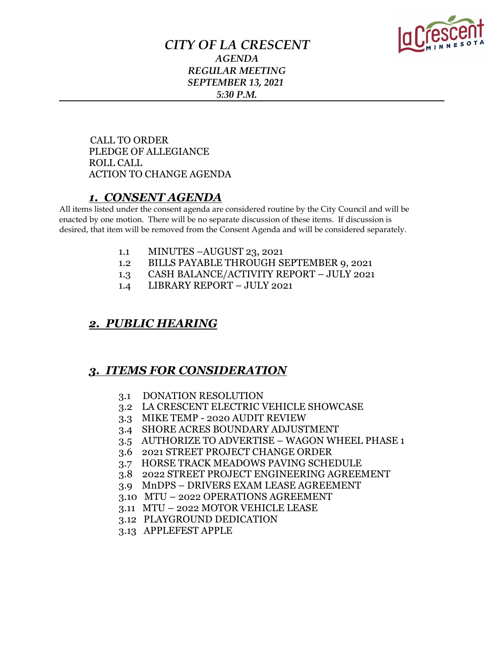

## *CITY OF LA CRESCENT AGENDA REGULAR MEETING SEPTEMBER 13, 2021 5:30 P.M.*

 CALL TO ORDER PLEDGE OF ALLEGIANCE ROLL CALL ACTION TO CHANGE AGENDA

## *1. CONSENT AGENDA*

All items listed under the consent agenda are considered routine by the City Council and will be enacted by one motion. There will be no separate discussion of these items. If discussion is desired, that item will be removed from the Consent Agenda and will be considered separately.

- 1.1 MINUTES –AUGUST 23, 2021
- 1.2 BILLS PAYABLE THROUGH SEPTEMBER 9, 2021
- 1.3 CASH BALANCE/ACTIVITY REPORT JULY 2021
- 1.4 LIBRARY REPORT JULY 2021

## *2. PUBLIC HEARING*

## *3. ITEMS FOR CONSIDERATION*

- 3.1 DONATION RESOLUTION
- 3.2 LA CRESCENT ELECTRIC VEHICLE SHOWCASE
- 3.3 MIKE TEMP 2020 AUDIT REVIEW
- 3.4 SHORE ACRES BOUNDARY ADJUSTMENT
- 3.5 AUTHORIZE TO ADVERTISE WAGON WHEEL PHASE 1
- 3.6 2021 STREET PROJECT CHANGE ORDER
- 3.7 HORSE TRACK MEADOWS PAVING SCHEDULE
- 3.8 2022 STREET PROJECT ENGINEERING AGREEMENT
- 3.9 MnDPS DRIVERS EXAM LEASE AGREEMENT
- 3.10 MTU 2022 OPERATIONS AGREEMENT
- 3.11 MTU 2022 MOTOR VEHICLE LEASE
- 3.12 PLAYGROUND DEDICATION
- 3.13 APPLEFEST APPLE